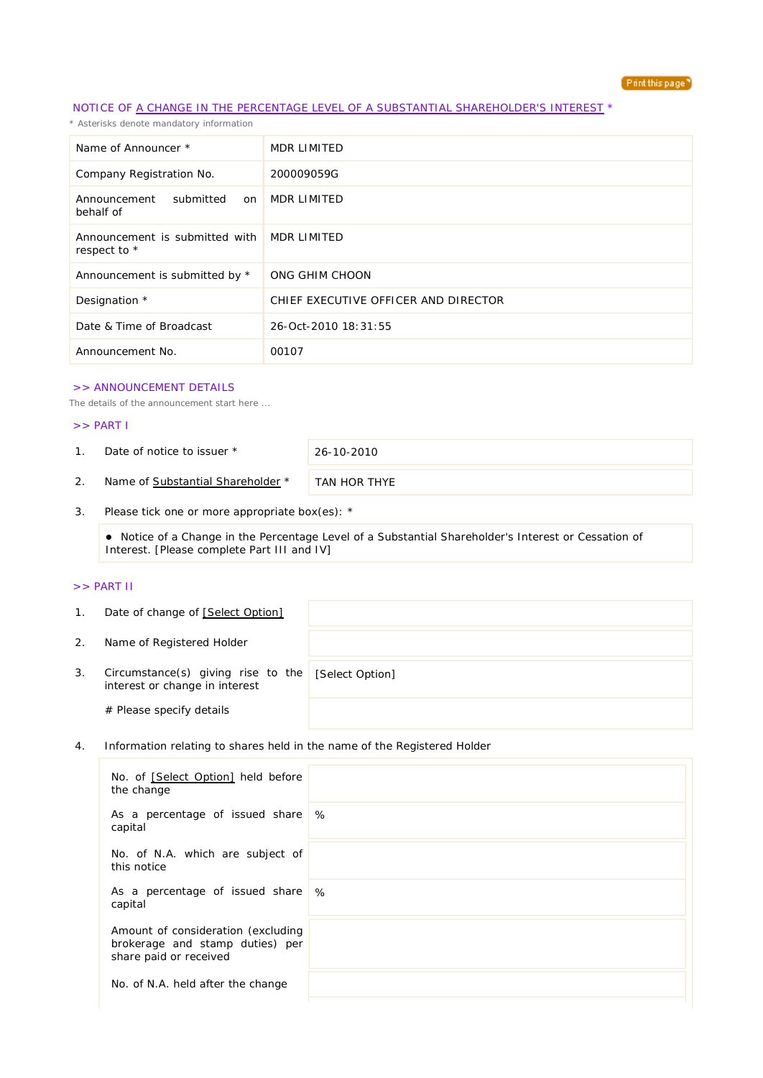

## NOTICE OF A CHANGE IN THE PERCENTAGE LEVEL OF A SUBSTANTIAL SHAREHOLDER'S INTEREST \*

*\* Asterisks denote mandatory information*

| Name of Announcer *                            | MDR LIMITED                          |
|------------------------------------------------|--------------------------------------|
| Company Registration No.                       | 200009059G                           |
| submitted<br>Announcement<br>on<br>behalf of   | MDR LIMITED                          |
| Announcement is submitted with<br>respect to * | MDR LIMITED                          |
| Announcement is submitted by *                 | ONG GHIM CHOON                       |
| Designation *                                  | CHIEF EXECUTIVE OFFICER AND DIRECTOR |
| Date & Time of Broadcast                       | 26-Oct-2010 18:31:55                 |
| Announcement No.                               | 00107                                |

#### >> ANNOUNCEMENT DETAILS

*The details of the announcement start here ...*

### >> PART I

1. Date of notice to issuer \* 26-10-2010

2. Name of Substantial Shareholder \* TAN HOR THYE

3. Please tick one or more appropriate box(es): \*

 Notice of a Change in the Percentage Level of a Substantial Shareholder's Interest or Cessation of Interest. [Please complete Part III and IV]

### >> PART II

| $\mathbf{1}$ . | Date of change of [Select Option]                                    |                 |
|----------------|----------------------------------------------------------------------|-----------------|
| 2.             | Name of Registered Holder                                            |                 |
| 3.             | Circumstance(s) giving rise to the<br>interest or change in interest | [Select Option] |
|                | # Please specify details                                             |                 |

4. Information relating to shares held in the name of the Registered Holder

| No. of [Select Option] held before<br>the change                                                |   |
|-------------------------------------------------------------------------------------------------|---|
| As a percentage of issued share<br>capital                                                      | % |
| No. of N.A. which are subject of<br>this notice                                                 |   |
| As a percentage of issued share \%<br>capital                                                   |   |
| Amount of consideration (excluding<br>brokerage and stamp duties) per<br>share paid or received |   |
| No. of N.A. held after the change                                                               |   |